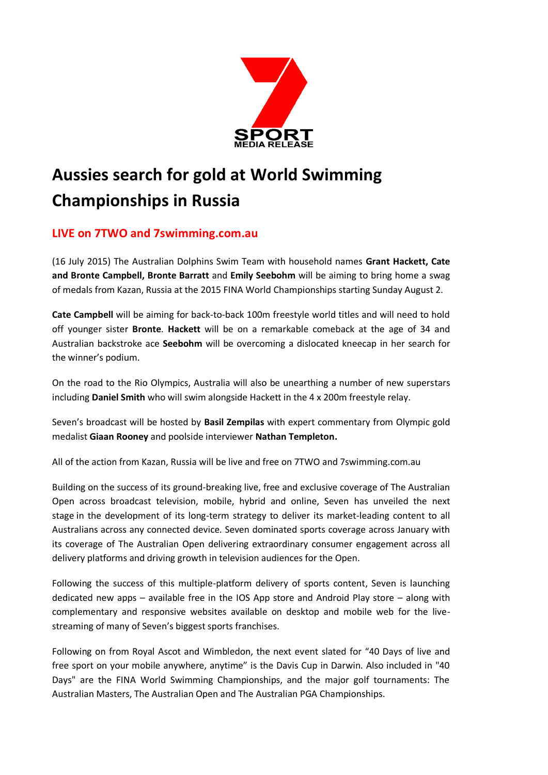

# **Aussies search for gold at World Swimming Championships in Russia**

## **LIVE on 7TWO and 7swimming.com.au**

(16 July 2015) The Australian Dolphins Swim Team with household names **Grant Hackett, Cate and Bronte Campbell, Bronte Barratt** and **Emily Seebohm** will be aiming to bring home a swag of medals from Kazan, Russia at the 2015 FINA World Championships starting Sunday August 2.

**Cate Campbell** will be aiming for back-to-back 100m freestyle world titles and will need to hold off younger sister **Bronte**. **Hackett** will be on a remarkable comeback at the age of 34 and Australian backstroke ace **Seebohm** will be overcoming a dislocated kneecap in her search for the winner's podium.

On the road to the Rio Olympics, Australia will also be unearthing a number of new superstars including **Daniel Smith** who will swim alongside Hackett in the 4 x 200m freestyle relay.

Seven's broadcast will be hosted by **Basil Zempilas** with expert commentary from Olympic gold medalist **Giaan Rooney** and poolside interviewer **Nathan Templeton.**

All of the action from Kazan, Russia will be live and free on 7TWO and 7swimming.com.au

Building on the success of its ground-breaking live, free and exclusive coverage of The Australian Open across broadcast television, mobile, hybrid and online, Seven has unveiled the next stage in the development of its long-term strategy to deliver its market-leading content to all Australians across any connected device. Seven dominated sports coverage across January with its coverage of The Australian Open delivering extraordinary consumer engagement across all delivery platforms and driving growth in television audiences for the Open.

Following the success of this multiple-platform delivery of sports content, Seven is launching dedicated new apps – available free in the IOS App store and Android Play store – along with complementary and responsive websites available on desktop and mobile web for the livestreaming of many of Seven's biggest sports franchises.

Following on from Royal Ascot and Wimbledon, the next event slated for "40 Days of live and free sport on your mobile anywhere, anytime" is the Davis Cup in Darwin. Also included in "40 Days" are the FINA World Swimming Championships, and the major golf tournaments: The Australian Masters, The Australian Open and The Australian PGA Championships.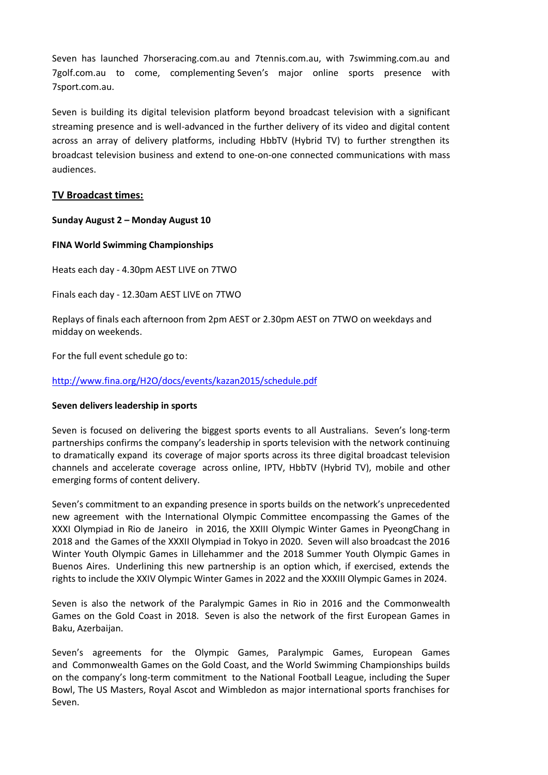Seven has launched 7horseracing.com.au and 7tennis.com.au, with 7swimming.com.au and 7golf.com.au to come, complementing Seven's major online sports presence with 7sport.com.au.

Seven is building its digital television platform beyond broadcast television with a significant streaming presence and is well-advanced in the further delivery of its video and digital content across an array of delivery platforms, including HbbTV (Hybrid TV) to further strengthen its broadcast television business and extend to one-on-one connected communications with mass audiences.

#### **TV Broadcast times:**

#### **Sunday August 2 – Monday August 10**

#### **FINA World Swimming Championships**

Heats each day - 4.30pm AEST LIVE on 7TWO

Finals each day - 12.30am AEST LIVE on 7TWO

Replays of finals each afternoon from 2pm AEST or 2.30pm AEST on 7TWO on weekdays and midday on weekends.

For the full event schedule go to:

### <http://www.fina.org/H2O/docs/events/kazan2015/schedule.pdf>

#### **Seven delivers leadership in sports**

Seven is focused on delivering the biggest sports events to all Australians. Seven's long-term partnerships confirms the company's leadership in sports television with the network continuing to dramatically expand its coverage of major sports across its three digital broadcast television channels and accelerate coverage across online, IPTV, HbbTV (Hybrid TV), mobile and other emerging forms of content delivery.

Seven's commitment to an expanding presence in sports builds on the network's unprecedented new agreement with the International Olympic Committee encompassing the Games of the XXXI Olympiad in Rio de Janeiro in 2016, the XXIII Olympic Winter Games in PyeongChang in 2018 and the Games of the XXXII Olympiad in Tokyo in 2020. Seven will also broadcast the 2016 Winter Youth Olympic Games in Lillehammer and the 2018 Summer Youth Olympic Games in Buenos Aires. Underlining this new partnership is an option which, if exercised, extends the rights to include the XXIV Olympic Winter Games in 2022 and the XXXIII Olympic Games in 2024.

Seven is also the network of the Paralympic Games in Rio in 2016 and the Commonwealth Games on the Gold Coast in 2018. Seven is also the network of the first European Games in Baku, Azerbaijan.

Seven's agreements for the Olympic Games, Paralympic Games, European Games and Commonwealth Games on the Gold Coast, and the World Swimming Championships builds on the company's long-term commitment to the National Football League, including the Super Bowl, The US Masters, Royal Ascot and Wimbledon as major international sports franchises for Seven.